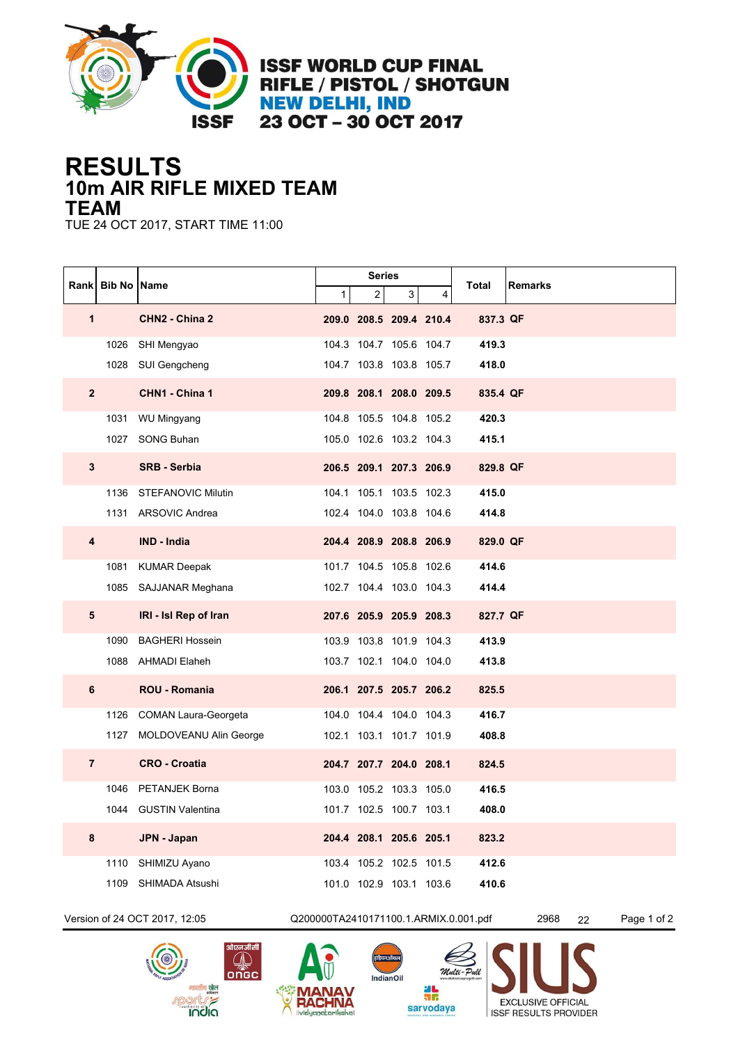

**ISSF WORLD CUP FINAL RIFLE / PISTOL / SHOTGUN NEW DELHI, IND** 23 OCT - 30 OCT 2017

## **10m AIR RIFLE MIXED TEAM RESULTS TEAM**

TUE 24 OCT 2017, START TIME 11:00

|                | Rank   Bib No   Name |                               | <b>Series</b>                         |                         |                |   |          |                           |  |
|----------------|----------------------|-------------------------------|---------------------------------------|-------------------------|----------------|---|----------|---------------------------|--|
|                |                      |                               | 1                                     | $\overline{a}$          | 3 <sup>1</sup> | 4 | Total    | Remarks                   |  |
| $\mathbf 1$    |                      | CHN2 - China 2                |                                       | 209.0 208.5 209.4 210.4 |                |   | 837.3 QF |                           |  |
|                |                      | 1026 SHI Mengyao              |                                       | 104.3 104.7 105.6 104.7 |                |   | 419.3    |                           |  |
|                |                      | 1028 SUI Gengcheng            |                                       | 104.7 103.8 103.8 105.7 |                |   | 418.0    |                           |  |
| $\overline{2}$ |                      | CHN1 - China 1                |                                       | 209.8 208.1 208.0 209.5 |                |   | 835.4 QF |                           |  |
|                |                      | 1031 WU Mingyang              |                                       | 104.8 105.5 104.8 105.2 |                |   | 420.3    |                           |  |
|                |                      | 1027 SONG Buhan               |                                       | 105.0 102.6 103.2 104.3 |                |   | 415.1    |                           |  |
| $\mathbf{3}$   |                      | <b>SRB - Serbia</b>           |                                       | 206.5 209.1 207.3 206.9 |                |   | 829.8 QF |                           |  |
|                |                      | 1136 STEFANOVIC Milutin       |                                       | 104.1 105.1 103.5 102.3 |                |   | 415.0    |                           |  |
|                |                      | 1131 ARSOVIC Andrea           |                                       | 102.4 104.0 103.8 104.6 |                |   | 414.8    |                           |  |
| 4              |                      | <b>IND - India</b>            |                                       | 204.4 208.9 208.8 206.9 |                |   | 829.0 QF |                           |  |
|                | 1081                 | <b>KUMAR Deepak</b>           |                                       | 101.7 104.5 105.8 102.6 |                |   | 414.6    |                           |  |
|                |                      | 1085 SAJJANAR Meghana         |                                       | 102.7 104.4 103.0 104.3 |                |   | 414.4    |                           |  |
| ${\bf 5}$      |                      | IRI - Isl Rep of Iran         |                                       | 207.6 205.9 205.9 208.3 |                |   | 827.7 QF |                           |  |
|                | 1090                 | <b>BAGHERI Hossein</b>        |                                       | 103.9 103.8 101.9 104.3 |                |   | 413.9    |                           |  |
|                |                      | 1088 AHMADI Elaheh            |                                       | 103.7 102.1 104.0 104.0 |                |   | 413.8    |                           |  |
| 6              |                      | <b>ROU - Romania</b>          |                                       | 206.1 207.5 205.7 206.2 |                |   | 825.5    |                           |  |
|                |                      | 1126 COMAN Laura-Georgeta     |                                       | 104.0 104.4 104.0 104.3 |                |   | 416.7    |                           |  |
|                |                      | 1127 MOLDOVEANU Alin George   |                                       | 102.1 103.1 101.7 101.9 |                |   | 408.8    |                           |  |
| $\overline{7}$ |                      | <b>CRO - Croatia</b>          |                                       | 204.7 207.7 204.0 208.1 |                |   | 824.5    |                           |  |
|                | 1046                 | PETANJEK Borna                |                                       | 103.0 105.2 103.3 105.0 |                |   | 416.5    |                           |  |
|                |                      | 1044 GUSTIN Valentina         |                                       | 101.7 102.5 100.7 103.1 |                |   | 408.0    |                           |  |
| 8              |                      | JPN - Japan                   |                                       | 204.4 208.1 205.6 205.1 |                |   | 823.2    |                           |  |
|                | 1110                 | SHIMIZU Ayano                 |                                       | 103.4 105.2 102.5 101.5 |                |   | 412.6    |                           |  |
|                | 1109                 | SHIMADA Atsushi               |                                       | 101.0 102.9 103.1 103.6 |                |   | 410.6    |                           |  |
|                |                      | Version of 24 OCT 2017, 12:05 | Q200000TA2410171100.1.ARMIX.0.001.pdf |                         |                |   |          | Page 1 of 2<br>2968<br>22 |  |
|                |                      |                               |                                       |                         |                |   |          |                           |  |





Multi-Pull 4L<br>3C sarvodaya **ISSF RESULTS PROVIDER** 

**EXCLUSIVE OFFICIAL** 

 $\left($ इंडियनऑयल $\right)$ 

IndianOil